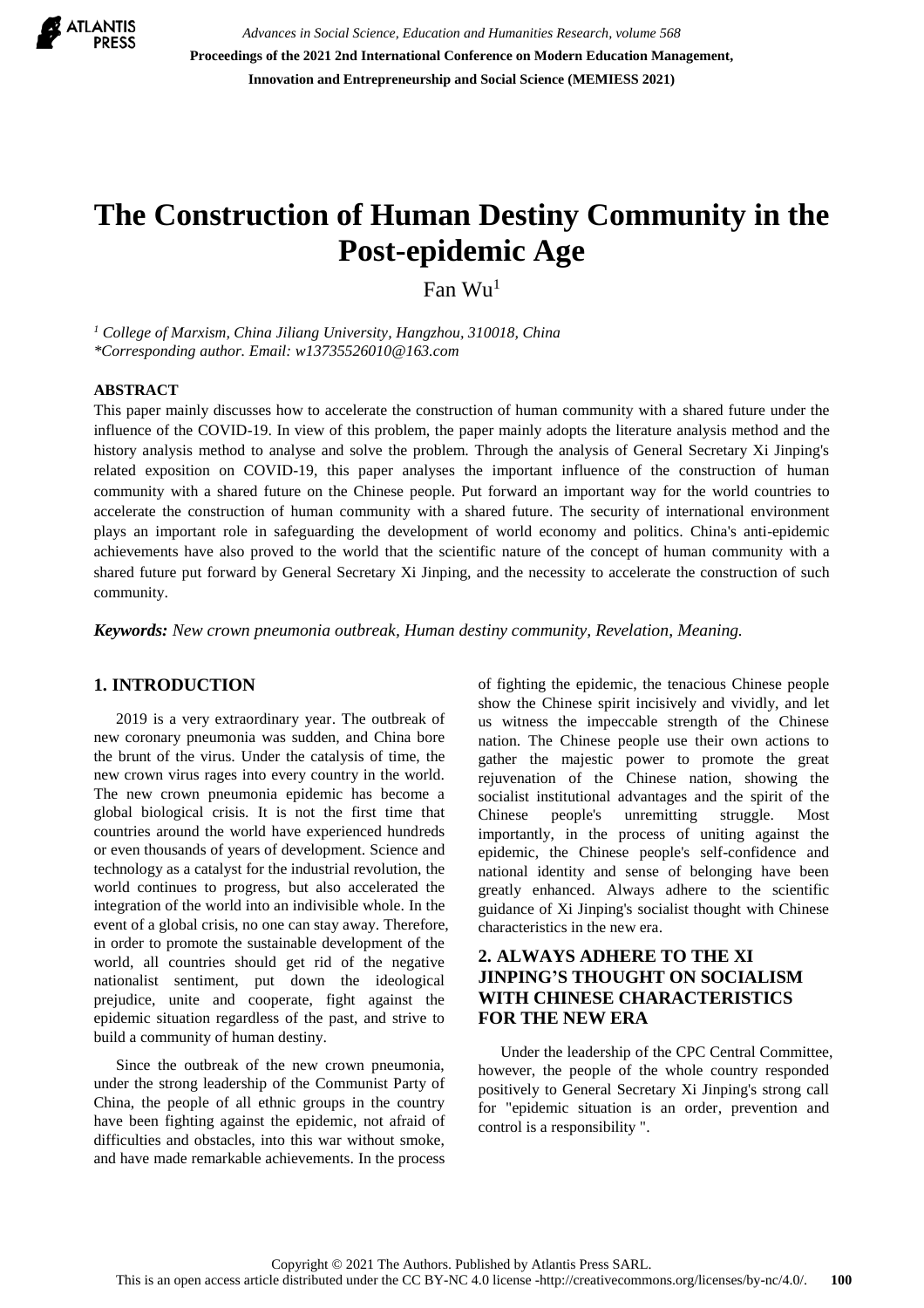

*Advances in Social Science, Education and Humanities Research, volume 568* **Proceedings of the 2021 2nd International Conference on Modern Education Management, Innovation and Entrepreneurship and Social Science (MEMIESS 2021)**

# **The Construction of Human Destiny Community in the Post-epidemic Age**

Fan Wu<sup>1</sup>

*<sup>1</sup> College of Marxism, China Jiliang University, Hangzhou, 310018, China \*Corresponding author. Email: w13735526010@163.com*

#### **ABSTRACT**

This paper mainly discusses how to accelerate the construction of human community with a shared future under the influence of the COVID-19. In view of this problem, the paper mainly adopts the literature analysis method and the history analysis method to analyse and solve the problem. Through the analysis of General Secretary Xi Jinping's related exposition on COVID-19, this paper analyses the important influence of the construction of human community with a shared future on the Chinese people. Put forward an important way for the world countries to accelerate the construction of human community with a shared future. The security of international environment plays an important role in safeguarding the development of world economy and politics. China's anti-epidemic achievements have also proved to the world that the scientific nature of the concept of human community with a shared future put forward by General Secretary Xi Jinping, and the necessity to accelerate the construction of such community.

*Keywords: New crown pneumonia outbreak, Human destiny community, Revelation, Meaning.*

#### **1. INTRODUCTION**

2019 is a very extraordinary year. The outbreak of new coronary pneumonia was sudden, and China bore the brunt of the virus. Under the catalysis of time, the new crown virus rages into every country in the world. The new crown pneumonia epidemic has become a global biological crisis. It is not the first time that countries around the world have experienced hundreds or even thousands of years of development. Science and technology as a catalyst for the industrial revolution, the world continues to progress, but also accelerated the integration of the world into an indivisible whole. In the event of a global crisis, no one can stay away. Therefore, in order to promote the sustainable development of the world, all countries should get rid of the negative nationalist sentiment, put down the ideological prejudice, unite and cooperate, fight against the epidemic situation regardless of the past, and strive to build a community of human destiny.

Since the outbreak of the new crown pneumonia, under the strong leadership of the Communist Party of China, the people of all ethnic groups in the country have been fighting against the epidemic, not afraid of difficulties and obstacles, into this war without smoke, and have made remarkable achievements. In the process

of fighting the epidemic, the tenacious Chinese people show the Chinese spirit incisively and vividly, and let us witness the impeccable strength of the Chinese nation. The Chinese people use their own actions to gather the majestic power to promote the great rejuvenation of the Chinese nation, showing the socialist institutional advantages and the spirit of the Chinese people's unremitting struggle. Most importantly, in the process of uniting against the epidemic, the Chinese people's self-confidence and national identity and sense of belonging have been greatly enhanced. Always adhere to the scientific guidance of Xi Jinping's socialist thought with Chinese characteristics in the new era.

# **2. ALWAYS ADHERE TO THE XI JINPING'S THOUGHT ON SOCIALISM WITH CHINESE CHARACTERISTICS FOR THE NEW ERA**

Under the leadership of the CPC Central Committee, however, the people of the whole country responded positively to General Secretary Xi Jinping's strong call for "epidemic situation is an order, prevention and control is a responsibility ".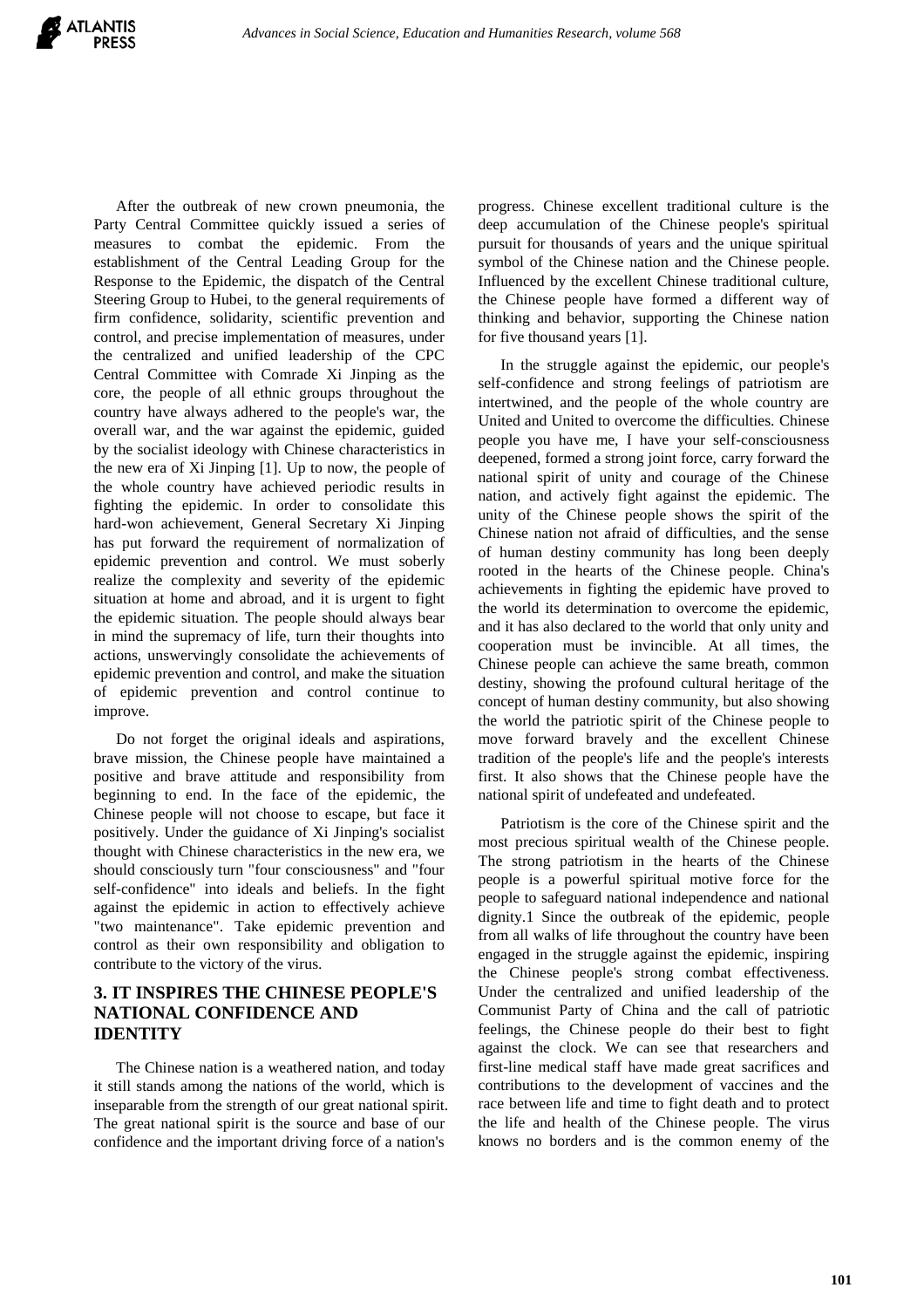After the outbreak of new crown pneumonia, the Party Central Committee quickly issued a series of measures to combat the epidemic. From the establishment of the Central Leading Group for the Response to the Epidemic, the dispatch of the Central Steering Group to Hubei, to the general requirements of firm confidence, solidarity, scientific prevention and control, and precise implementation of measures, under the centralized and unified leadership of the CPC Central Committee with Comrade Xi Jinping as the core, the people of all ethnic groups throughout the country have always adhered to the people's war, the overall war, and the war against the epidemic, guided by the socialist ideology with Chinese characteristics in the new era of Xi Jinping [1]. Up to now, the people of the whole country have achieved periodic results in fighting the epidemic. In order to consolidate this hard-won achievement, General Secretary Xi Jinping has put forward the requirement of normalization of epidemic prevention and control. We must soberly realize the complexity and severity of the epidemic situation at home and abroad, and it is urgent to fight the epidemic situation. The people should always bear in mind the supremacy of life, turn their thoughts into actions, unswervingly consolidate the achievements of epidemic prevention and control, and make the situation of epidemic prevention and control continue to improve.

Do not forget the original ideals and aspirations, brave mission, the Chinese people have maintained a positive and brave attitude and responsibility from beginning to end. In the face of the epidemic, the Chinese people will not choose to escape, but face it positively. Under the guidance of Xi Jinping's socialist thought with Chinese characteristics in the new era, we should consciously turn "four consciousness" and "four self-confidence" into ideals and beliefs. In the fight against the epidemic in action to effectively achieve "two maintenance". Take epidemic prevention and control as their own responsibility and obligation to contribute to the victory of the virus.

# **3. IT INSPIRES THE CHINESE PEOPLE'S NATIONAL CONFIDENCE AND IDENTITY**

The Chinese nation is a weathered nation, and today it still stands among the nations of the world, which is inseparable from the strength of our great national spirit. The great national spirit is the source and base of our confidence and the important driving force of a nation's

progress. Chinese excellent traditional culture is the deep accumulation of the Chinese people's spiritual pursuit for thousands of years and the unique spiritual symbol of the Chinese nation and the Chinese people. Influenced by the excellent Chinese traditional culture, the Chinese people have formed a different way of thinking and behavior, supporting the Chinese nation for five thousand years [1].

In the struggle against the epidemic, our people's self-confidence and strong feelings of patriotism are intertwined, and the people of the whole country are United and United to overcome the difficulties. Chinese people you have me, I have your self-consciousness deepened, formed a strong joint force, carry forward the national spirit of unity and courage of the Chinese nation, and actively fight against the epidemic. The unity of the Chinese people shows the spirit of the Chinese nation not afraid of difficulties, and the sense of human destiny community has long been deeply rooted in the hearts of the Chinese people. China's achievements in fighting the epidemic have proved to the world its determination to overcome the epidemic, and it has also declared to the world that only unity and cooperation must be invincible. At all times, the Chinese people can achieve the same breath, common destiny, showing the profound cultural heritage of the concept of human destiny community, but also showing the world the patriotic spirit of the Chinese people to move forward bravely and the excellent Chinese tradition of the people's life and the people's interests first. It also shows that the Chinese people have the national spirit of undefeated and undefeated.

Patriotism is the core of the Chinese spirit and the most precious spiritual wealth of the Chinese people. The strong patriotism in the hearts of the Chinese people is a powerful spiritual motive force for the people to safeguard national independence and national dignity.1 Since the outbreak of the epidemic, people from all walks of life throughout the country have been engaged in the struggle against the epidemic, inspiring the Chinese people's strong combat effectiveness. Under the centralized and unified leadership of the Communist Party of China and the call of patriotic feelings, the Chinese people do their best to fight against the clock. We can see that researchers and first-line medical staff have made great sacrifices and contributions to the development of vaccines and the race between life and time to fight death and to protect the life and health of the Chinese people. The virus knows no borders and is the common enemy of the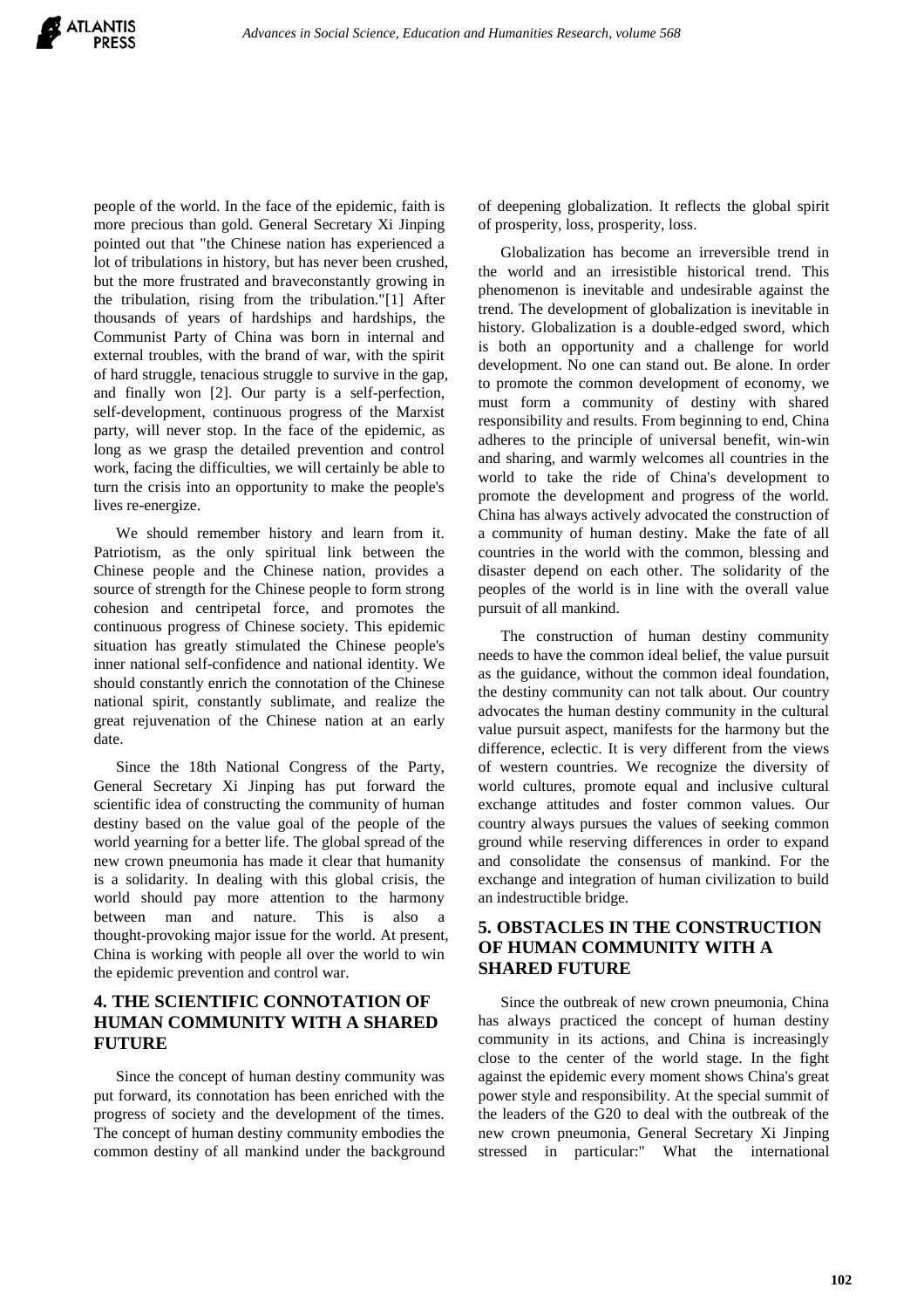people of the world. In the face of the epidemic, faith is more precious than gold. General Secretary Xi Jinping pointed out that "the Chinese nation has experienced a lot of tribulations in history, but has never been crushed, but the more frustrated and braveconstantly growing in the tribulation, rising from the tribulation."[1] After thousands of years of hardships and hardships, the Communist Party of China was born in internal and external troubles, with the brand of war, with the spirit of hard struggle, tenacious struggle to survive in the gap, and finally won [2]. Our party is a self-perfection, self-development, continuous progress of the Marxist party, will never stop. In the face of the epidemic, as long as we grasp the detailed prevention and control work, facing the difficulties, we will certainly be able to turn the crisis into an opportunity to make the people's lives re-energize.

We should remember history and learn from it. Patriotism, as the only spiritual link between the Chinese people and the Chinese nation, provides a source of strength for the Chinese people to form strong cohesion and centripetal force, and promotes the continuous progress of Chinese society. This epidemic situation has greatly stimulated the Chinese people's inner national self-confidence and national identity. We should constantly enrich the connotation of the Chinese national spirit, constantly sublimate, and realize the great rejuvenation of the Chinese nation at an early date.

Since the 18th National Congress of the Party, General Secretary Xi Jinping has put forward the scientific idea of constructing the community of human destiny based on the value goal of the people of the world yearning for a better life. The global spread of the new crown pneumonia has made it clear that humanity is a solidarity. In dealing with this global crisis, the world should pay more attention to the harmony between man and nature. This is also a thought-provoking major issue for the world. At present, China is working with people all over the world to win the epidemic prevention and control war.

# **4. THE SCIENTIFIC CONNOTATION OF HUMAN COMMUNITY WITH A SHARED FUTURE**

Since the concept of human destiny community was put forward, its connotation has been enriched with the progress of society and the development of the times. The concept of human destiny community embodies the common destiny of all mankind under the background of deepening globalization. It reflects the global spirit of prosperity, loss, prosperity, loss.

Globalization has become an irreversible trend in the world and an irresistible historical trend. This phenomenon is inevitable and undesirable against the trend. The development of globalization is inevitable in history. Globalization is a double-edged sword, which is both an opportunity and a challenge for world development. No one can stand out. Be alone. In order to promote the common development of economy, we must form a community of destiny with shared responsibility and results. From beginning to end, China adheres to the principle of universal benefit, win-win and sharing, and warmly welcomes all countries in the world to take the ride of China's development to promote the development and progress of the world. China has always actively advocated the construction of a community of human destiny. Make the fate of all countries in the world with the common, blessing and disaster depend on each other. The solidarity of the peoples of the world is in line with the overall value pursuit of all mankind.

The construction of human destiny community needs to have the common ideal belief, the value pursuit as the guidance, without the common ideal foundation, the destiny community can not talk about. Our country advocates the human destiny community in the cultural value pursuit aspect, manifests for the harmony but the difference, eclectic. It is very different from the views of western countries. We recognize the diversity of world cultures, promote equal and inclusive cultural exchange attitudes and foster common values. Our country always pursues the values of seeking common ground while reserving differences in order to expand and consolidate the consensus of mankind. For the exchange and integration of human civilization to build an indestructible bridge.

## **5. OBSTACLES IN THE CONSTRUCTION OF HUMAN COMMUNITY WITH A SHARED FUTURE**

Since the outbreak of new crown pneumonia, China has always practiced the concept of human destiny community in its actions, and China is increasingly close to the center of the world stage. In the fight against the epidemic every moment shows China's great power style and responsibility. At the special summit of the leaders of the G20 to deal with the outbreak of the new crown pneumonia, General Secretary Xi Jinping stressed in particular:" What the international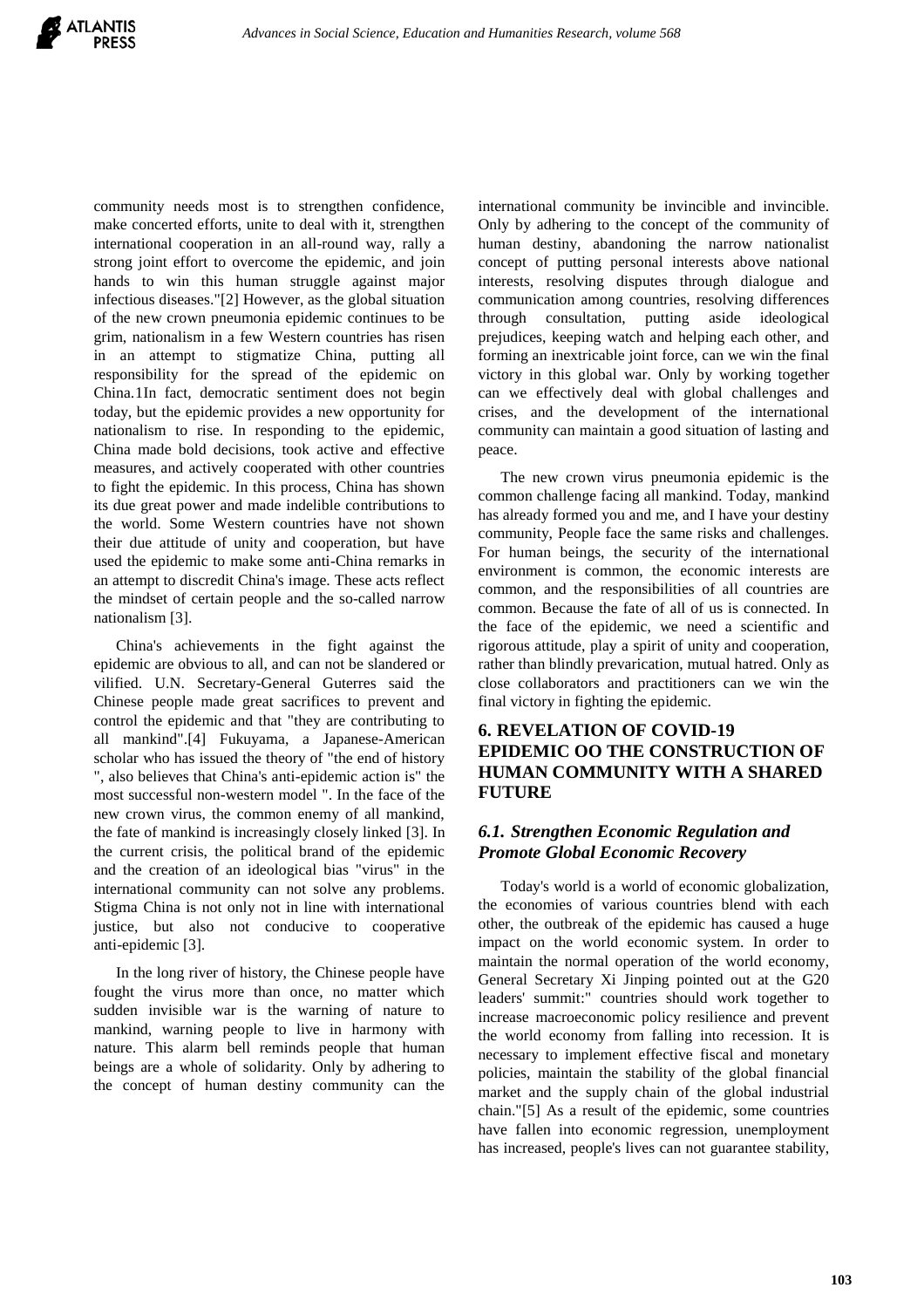community needs most is to strengthen confidence, make concerted efforts, unite to deal with it, strengthen international cooperation in an all-round way, rally a strong joint effort to overcome the epidemic, and join hands to win this human struggle against major infectious diseases."[2] However, as the global situation of the new crown pneumonia epidemic continues to be grim, nationalism in a few Western countries has risen in an attempt to stigmatize China, putting all responsibility for the spread of the epidemic on China.1In fact, democratic sentiment does not begin today, but the epidemic provides a new opportunity for nationalism to rise. In responding to the epidemic, China made bold decisions, took active and effective measures, and actively cooperated with other countries to fight the epidemic. In this process, China has shown its due great power and made indelible contributions to the world. Some Western countries have not shown their due attitude of unity and cooperation, but have used the epidemic to make some anti-China remarks in an attempt to discredit China's image. These acts reflect the mindset of certain people and the so-called narrow nationalism [3].

China's achievements in the fight against the epidemic are obvious to all, and can not be slandered or vilified. U.N. Secretary-General Guterres said the Chinese people made great sacrifices to prevent and control the epidemic and that "they are contributing to all mankind".[4] Fukuyama, a Japanese-American scholar who has issued the theory of "the end of history ", also believes that China's anti-epidemic action is" the most successful non-western model ". In the face of the new crown virus, the common enemy of all mankind, the fate of mankind is increasingly closely linked [3]. In the current crisis, the political brand of the epidemic and the creation of an ideological bias "virus" in the international community can not solve any problems. Stigma China is not only not in line with international justice, but also not conducive to cooperative anti-epidemic [3].

In the long river of history, the Chinese people have fought the virus more than once, no matter which sudden invisible war is the warning of nature to mankind, warning people to live in harmony with nature. This alarm bell reminds people that human beings are a whole of solidarity. Only by adhering to the concept of human destiny community can the

international community be invincible and invincible. Only by adhering to the concept of the community of human destiny, abandoning the narrow nationalist concept of putting personal interests above national interests, resolving disputes through dialogue and communication among countries, resolving differences through consultation, putting aside ideological prejudices, keeping watch and helping each other, and forming an inextricable joint force, can we win the final victory in this global war. Only by working together can we effectively deal with global challenges and crises, and the development of the international community can maintain a good situation of lasting and peace.

The new crown virus pneumonia epidemic is the common challenge facing all mankind. Today, mankind has already formed you and me, and I have your destiny community, People face the same risks and challenges. For human beings, the security of the international environment is common, the economic interests are common, and the responsibilities of all countries are common. Because the fate of all of us is connected. In the face of the epidemic, we need a scientific and rigorous attitude, play a spirit of unity and cooperation, rather than blindly prevarication, mutual hatred. Only as close collaborators and practitioners can we win the final victory in fighting the epidemic.

# **6. REVELATION OF COVID-19 EPIDEMIC OO THE CONSTRUCTION OF HUMAN COMMUNITY WITH A SHARED FUTURE**

## *6.1. Strengthen Economic Regulation and Promote Global Economic Recovery*

Today's world is a world of economic globalization, the economies of various countries blend with each other, the outbreak of the epidemic has caused a huge impact on the world economic system. In order to maintain the normal operation of the world economy, General Secretary Xi Jinping pointed out at the G20 leaders' summit:" countries should work together to increase macroeconomic policy resilience and prevent the world economy from falling into recession. It is necessary to implement effective fiscal and monetary policies, maintain the stability of the global financial market and the supply chain of the global industrial chain."[5] As a result of the epidemic, some countries have fallen into economic regression, unemployment has increased, people's lives can not guarantee stability,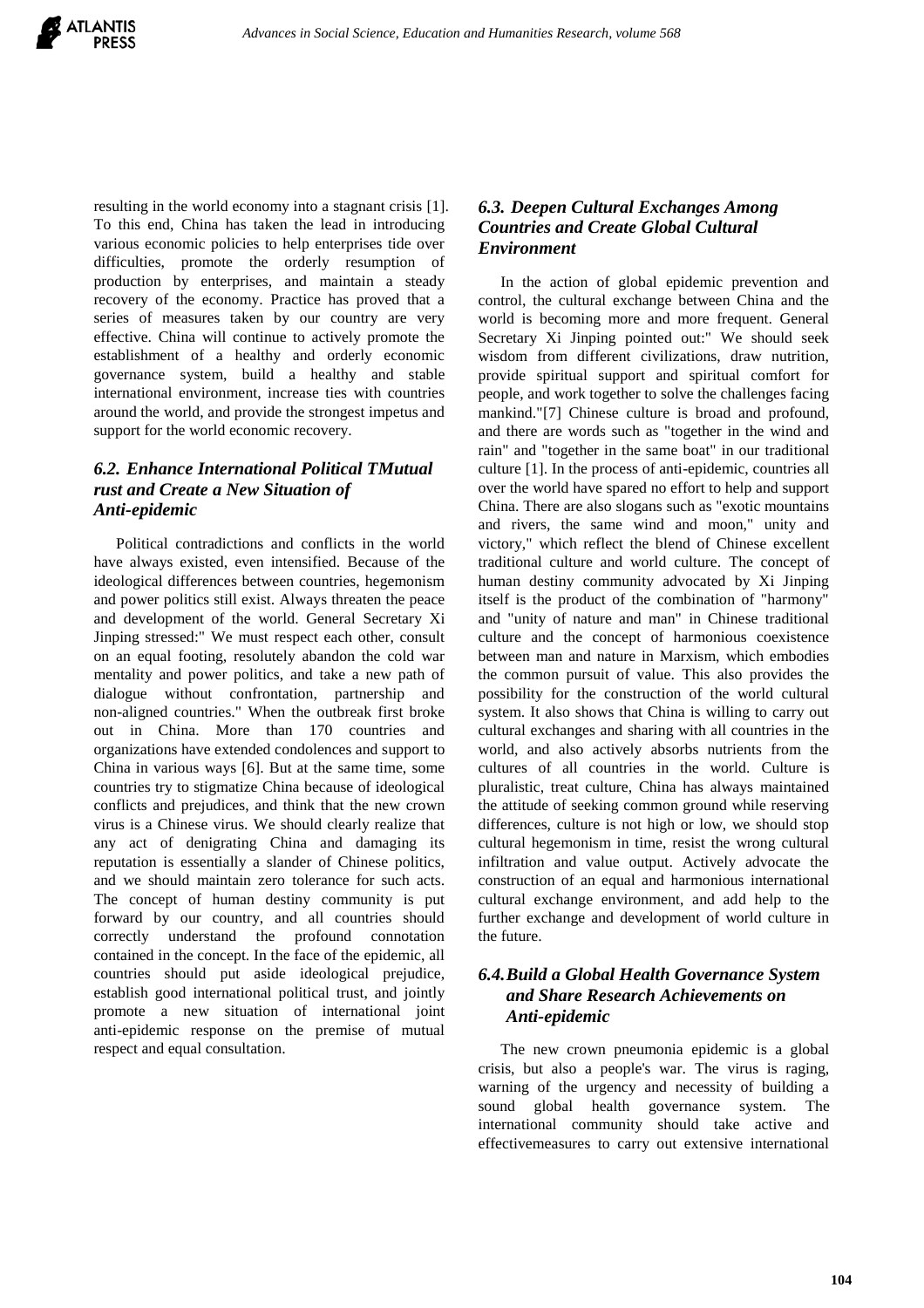resulting in the world economy into a stagnant crisis [1]. To this end, China has taken the lead in introducing various economic policies to help enterprises tide over difficulties, promote the orderly resumption of production by enterprises, and maintain a steady recovery of the economy. Practice has proved that a series of measures taken by our country are very effective. China will continue to actively promote the establishment of a healthy and orderly economic governance system, build a healthy and stable international environment, increase ties with countries around the world, and provide the strongest impetus and support for the world economic recovery.

## *6.2. Enhance International Political TMutual rust and Create a New Situation of Anti-epidemic*

Political contradictions and conflicts in the world have always existed, even intensified. Because of the ideological differences between countries, hegemonism and power politics still exist. Always threaten the peace and development of the world. General Secretary Xi Jinping stressed:" We must respect each other, consult on an equal footing, resolutely abandon the cold war mentality and power politics, and take a new path of dialogue without confrontation, partnership and non-aligned countries." When the outbreak first broke out in China. More than 170 countries and organizations have extended condolences and support to China in various ways [6]. But at the same time, some countries try to stigmatize China because of ideological conflicts and prejudices, and think that the new crown virus is a Chinese virus. We should clearly realize that any act of denigrating China and damaging its reputation is essentially a slander of Chinese politics, and we should maintain zero tolerance for such acts. The concept of human destiny community is put forward by our country, and all countries should correctly understand the profound connotation contained in the concept. In the face of the epidemic, all countries should put aside ideological prejudice, establish good international political trust, and jointly promote a new situation of international joint anti-epidemic response on the premise of mutual respect and equal consultation.

## *6.3. Deepen Cultural Exchanges Among Countries and Create Global Cultural Environment*

In the action of global epidemic prevention and control, the cultural exchange between China and the world is becoming more and more frequent. General Secretary Xi Jinping pointed out:" We should seek wisdom from different civilizations, draw nutrition, provide spiritual support and spiritual comfort for people, and work together to solve the challenges facing mankind."[7] Chinese culture is broad and profound, and there are words such as "together in the wind and rain" and "together in the same boat" in our traditional culture [1]. In the process of anti-epidemic, countries all over the world have spared no effort to help and support China. There are also slogans such as "exotic mountains and rivers, the same wind and moon," unity and victory," which reflect the blend of Chinese excellent traditional culture and world culture. The concept of human destiny community advocated by Xi Jinping itself is the product of the combination of "harmony" and "unity of nature and man" in Chinese traditional culture and the concept of harmonious coexistence between man and nature in Marxism, which embodies the common pursuit of value. This also provides the possibility for the construction of the world cultural system. It also shows that China is willing to carry out cultural exchanges and sharing with all countries in the world, and also actively absorbs nutrients from the cultures of all countries in the world. Culture is pluralistic, treat culture, China has always maintained the attitude of seeking common ground while reserving differences, culture is not high or low, we should stop cultural hegemonism in time, resist the wrong cultural infiltration and value output. Actively advocate the construction of an equal and harmonious international cultural exchange environment, and add help to the further exchange and development of world culture in the future.

## *6.4.Build a Global Health Governance System and Share Research Achievements on Anti-epidemic*

The new crown pneumonia epidemic is a global crisis, but also a people's war. The virus is raging, warning of the urgency and necessity of building a sound global health governance system. The international community should take active and effectivemeasures to carry out extensive international